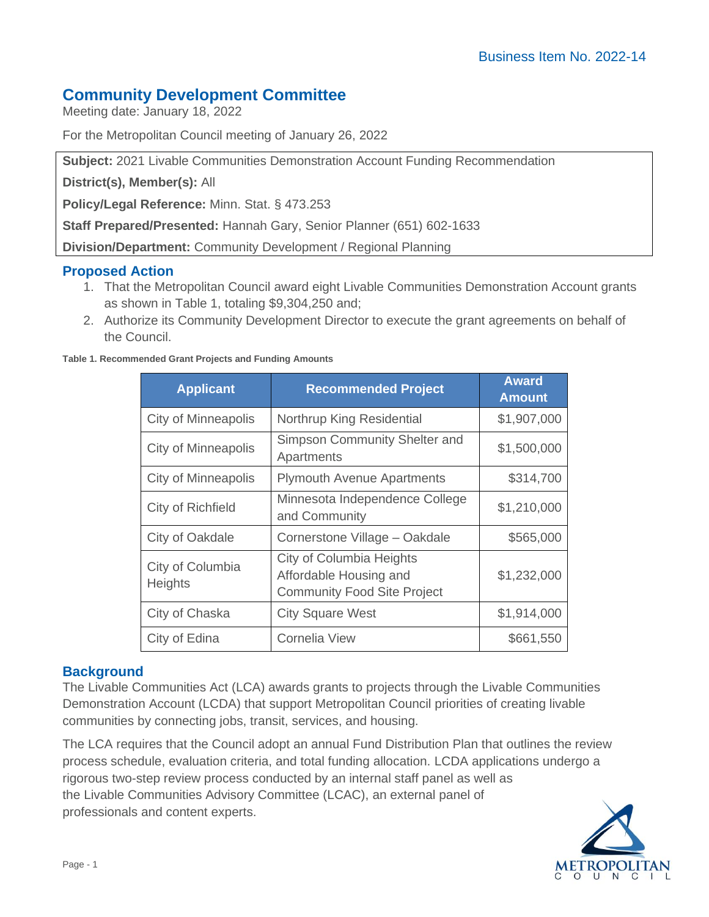# **Community Development Committee**

Meeting date: January 18, 2022

For the Metropolitan Council meeting of January 26, 2022

**Subject:** 2021 Livable Communities Demonstration Account Funding Recommendation

**District(s), Member(s):** All

**Policy/Legal Reference:** Minn. Stat. § 473.253

**Staff Prepared/Presented:** Hannah Gary, Senior Planner (651) 602-1633

**Division/Department:** Community Development / Regional Planning

## **Proposed Action**

- 1. That the Metropolitan Council award eight Livable Communities Demonstration Account grants as shown in Table 1, totaling \$9,304,250 and;
- 2. Authorize its Community Development Director to execute the grant agreements on behalf of the Council.

| Table 1. Recommended Grant Projects and Funding Amounts |  |  |  |
|---------------------------------------------------------|--|--|--|
|                                                         |  |  |  |

| <b>Applicant</b>                   | <b>Recommended Project</b>                                                               | <b>Award</b><br><b>Amount</b> |
|------------------------------------|------------------------------------------------------------------------------------------|-------------------------------|
| <b>City of Minneapolis</b>         | Northrup King Residential                                                                | \$1,907,000                   |
| City of Minneapolis                | Simpson Community Shelter and<br>Apartments                                              | \$1,500,000                   |
| City of Minneapolis                | <b>Plymouth Avenue Apartments</b>                                                        | \$314,700                     |
| City of Richfield                  | Minnesota Independence College<br>and Community                                          | \$1,210,000                   |
| City of Oakdale                    | Cornerstone Village - Oakdale                                                            | \$565,000                     |
| City of Columbia<br><b>Heights</b> | City of Columbia Heights<br>Affordable Housing and<br><b>Community Food Site Project</b> | \$1,232,000                   |
| City of Chaska                     | <b>City Square West</b>                                                                  | \$1,914,000                   |
| City of Edina                      | Cornelia View                                                                            | \$661,550                     |

## **Background**

The Livable Communities Act (LCA) awards grants to projects through the Livable Communities Demonstration Account (LCDA) that support Metropolitan Council priorities of creating livable communities by connecting jobs, transit, services, and housing.

The LCA requires that the Council adopt an annual Fund Distribution Plan that outlines the review process schedule, evaluation criteria, and total funding allocation. LCDA applications undergo a rigorous two-step review process conducted by an internal staff panel as well as the Livable Communities Advisory Committee (LCAC), an external panel of professionals and content experts.

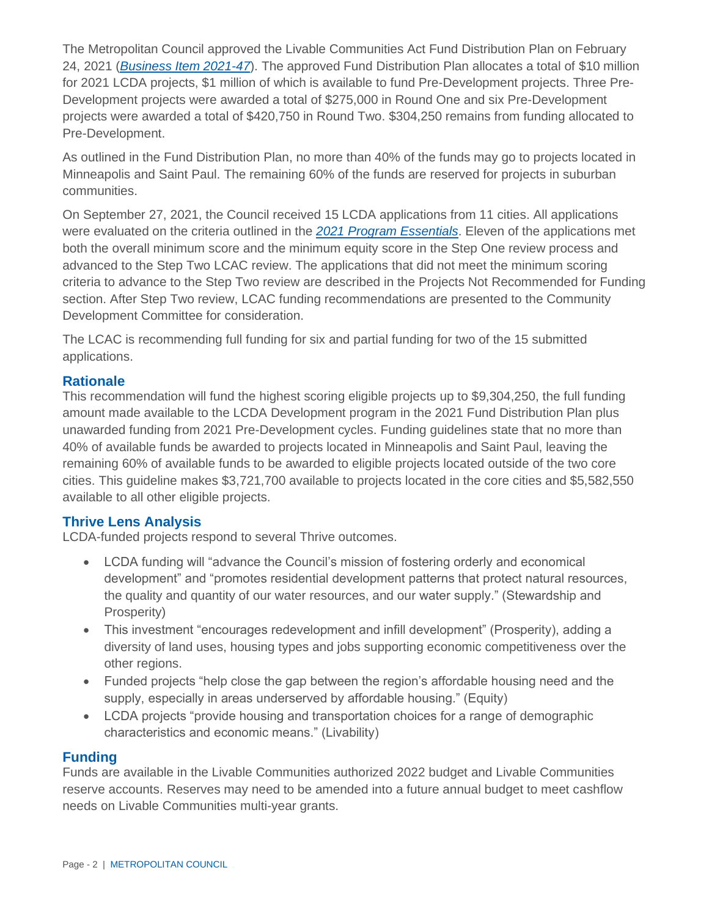The Metropolitan Council approved the Livable Communities Act Fund Distribution Plan on February 24, 2021 (*[Business Item 2021-47](https://metrocouncil.org/Council-Meetings/Committees/Metropolitan-Council/2021/2-24-21/0224_2021_47.aspx)*). The approved Fund Distribution Plan allocates a total of \$10 million for 2021 LCDA projects, \$1 million of which is available to fund Pre-Development projects. Three Pre-Development projects were awarded a total of \$275,000 in Round One and six Pre-Development projects were awarded a total of \$420,750 in Round Two. \$304,250 remains from funding allocated to Pre-Development.

As outlined in the Fund Distribution Plan, no more than 40% of the funds may go to projects located in Minneapolis and Saint Paul. The remaining 60% of the funds are reserved for projects in suburban communities.

On September 27, 2021, the Council received 15 LCDA applications from 11 cities. All applications were evaluated on the criteria outlined in the *[2021 Program Essentials](https://metrocouncil.org/Communities/Services/Livable-Communities-Grants/Livable-Communities-Demonstration-Account-(LCDA)/LCDA/2021-LCDA-Development-Program-Essentials.aspx)*. Eleven of the applications met both the overall minimum score and the minimum equity score in the Step One review process and advanced to the Step Two LCAC review. The applications that did not meet the minimum scoring criteria to advance to the Step Two review are described in the Projects Not Recommended for Funding section. After Step Two review, LCAC funding recommendations are presented to the Community Development Committee for consideration.

The LCAC is recommending full funding for six and partial funding for two of the 15 submitted applications.

## **Rationale**

This recommendation will fund the highest scoring eligible projects up to \$9,304,250, the full funding amount made available to the LCDA Development program in the 2021 Fund Distribution Plan plus unawarded funding from 2021 Pre-Development cycles. Funding guidelines state that no more than 40% of available funds be awarded to projects located in Minneapolis and Saint Paul, leaving the remaining 60% of available funds to be awarded to eligible projects located outside of the two core cities. This guideline makes \$3,721,700 available to projects located in the core cities and \$5,582,550 available to all other eligible projects.

## **Thrive Lens Analysis**

LCDA-funded projects respond to several Thrive outcomes.

- LCDA funding will "advance the Council's mission of fostering orderly and economical development" and "promotes residential development patterns that protect natural resources, the quality and quantity of our water resources, and our water supply." (Stewardship and Prosperity)
- This investment "encourages redevelopment and infill development" (Prosperity), adding a diversity of land uses, housing types and jobs supporting economic competitiveness over the other regions.
- Funded projects "help close the gap between the region's affordable housing need and the supply, especially in areas underserved by affordable housing." (Equity)
- LCDA projects "provide housing and transportation choices for a range of demographic characteristics and economic means." (Livability)

## **Funding**

Funds are available in the Livable Communities authorized 2022 budget and Livable Communities reserve accounts. Reserves may need to be amended into a future annual budget to meet cashflow needs on Livable Communities multi-year grants.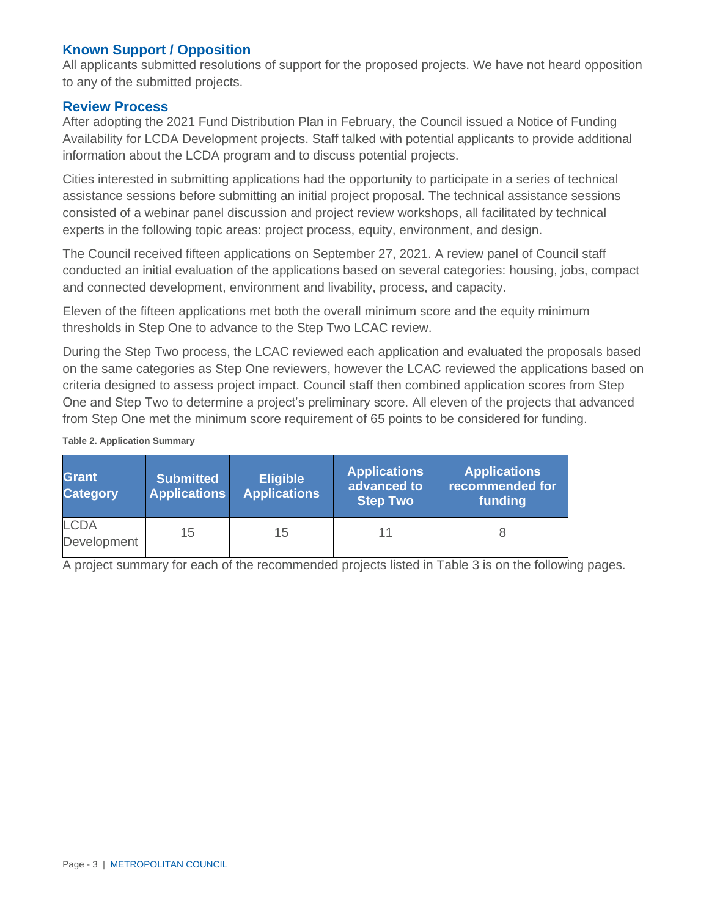# **Known Support / Opposition**

All applicants submitted resolutions of support for the proposed projects. We have not heard opposition to any of the submitted projects.

#### **Review Process**

After adopting the 2021 Fund Distribution Plan in February, the Council issued a Notice of Funding Availability for LCDA Development projects. Staff talked with potential applicants to provide additional information about the LCDA program and to discuss potential projects.

Cities interested in submitting applications had the opportunity to participate in a series of technical assistance sessions before submitting an initial project proposal. The technical assistance sessions consisted of a webinar panel discussion and project review workshops, all facilitated by technical experts in the following topic areas: project process, equity, environment, and design.

The Council received fifteen applications on September 27, 2021. A review panel of Council staff conducted an initial evaluation of the applications based on several categories: housing, jobs, compact and connected development, environment and livability, process, and capacity.

Eleven of the fifteen applications met both the overall minimum score and the equity minimum thresholds in Step One to advance to the Step Two LCAC review.

During the Step Two process, the LCAC reviewed each application and evaluated the proposals based on the same categories as Step One reviewers, however the LCAC reviewed the applications based on criteria designed to assess project impact. Council staff then combined application scores from Step One and Step Two to determine a project's preliminary score. All eleven of the projects that advanced from Step One met the minimum score requirement of 65 points to be considered for funding.

**Table 2. Application Summary**

| <b>Grant</b><br><b>Category</b> | <b>Submitted</b><br><b>Applications</b> | <b>Eligible</b><br><b>Applications</b> | <b>Applications</b><br>advanced to<br><b>Step Two</b> | <b>Applications</b><br>recommended for<br>funding |
|---------------------------------|-----------------------------------------|----------------------------------------|-------------------------------------------------------|---------------------------------------------------|
| <b>LCDA</b><br>Development      | 15                                      | 15                                     |                                                       |                                                   |

A project summary for each of the recommended projects listed in Table 3 is on the following pages.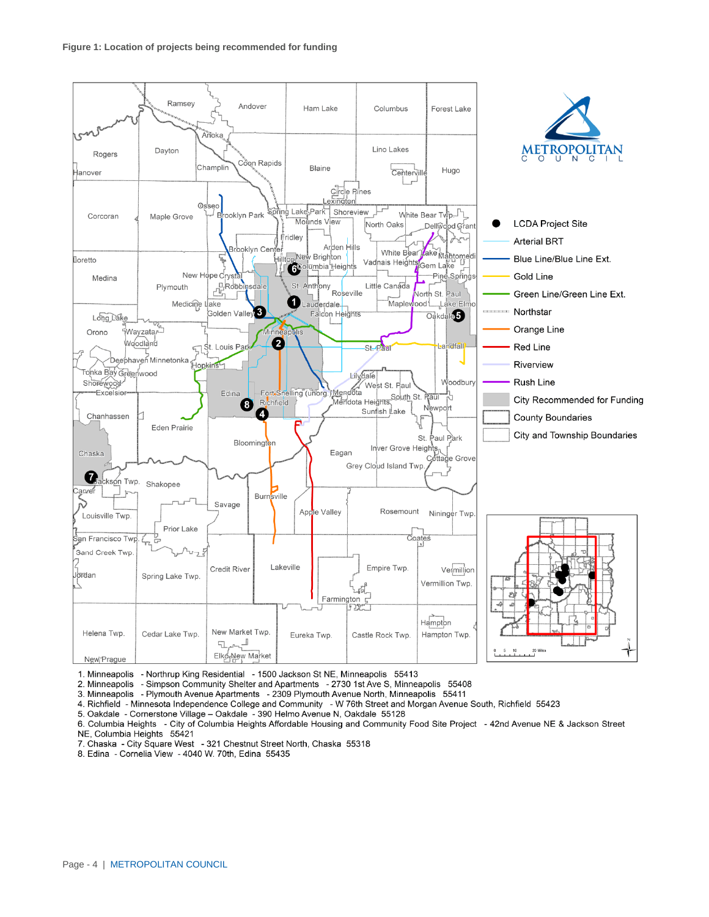

1. Minneapolis - Northrup King Residential - 1500 Jackson St NE, Minneapolis 55413

2. Minneapolis - Simpson Community Shelter and Apartments - 2730 1st Ave S, Minneapolis 55408

3. Minneapolis - Plymouth Avenue Apartments - 2309 Plymouth Avenue North, Minneapolis 55411

4. Richfield - Minnesota Independence College and Community - W 76th Street and Morgan Avenue South, Richfield 55423

5. Oakdale - Cornerstone Village - Oakdale - 390 Helmo Avenue N, Oakdale 55128

6. Columbia Heights - City of Columbia Heights Affordable Housing and Community Food Site Project - 42nd Avenue NE & Jackson Street NE, Columbia Heights 55421

7. Chaska - City Square West - 321 Chestnut Street North, Chaska 55318

8. Edina - Cornelia View - 4040 W. 70th, Edina 55435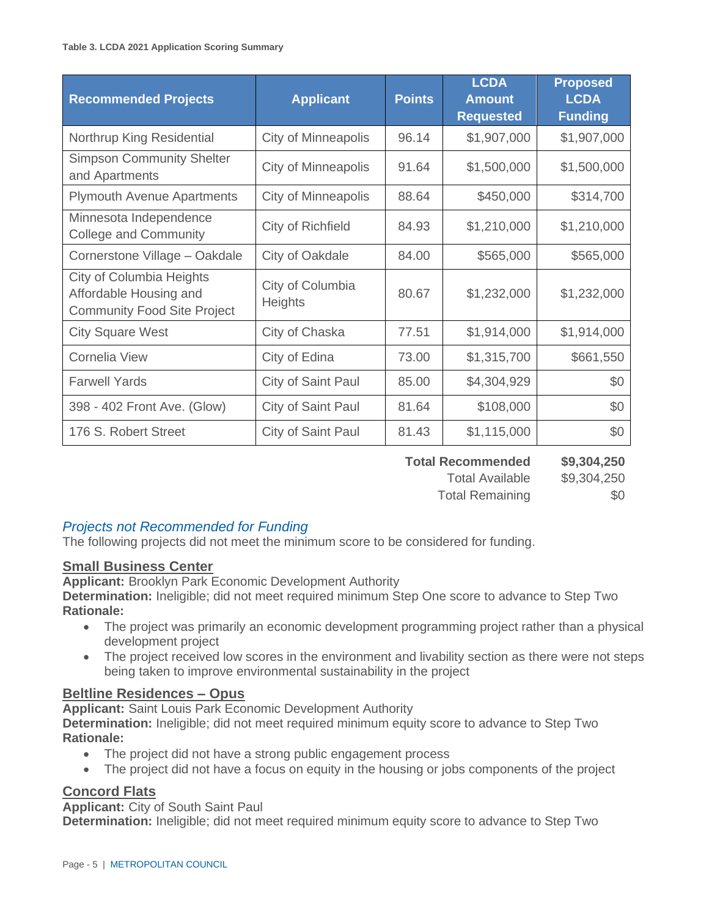| <b>Recommended Projects</b>                                                                     | <b>Applicant</b>                   | <b>Points</b> | <b>LCDA</b><br><b>Amount</b><br><b>Requested</b> | <b>Proposed</b><br><b>LCDA</b><br><b>Funding</b> |
|-------------------------------------------------------------------------------------------------|------------------------------------|---------------|--------------------------------------------------|--------------------------------------------------|
| Northrup King Residential                                                                       | City of Minneapolis                | 96.14         | \$1,907,000                                      | \$1,907,000                                      |
| <b>Simpson Community Shelter</b><br>and Apartments                                              | <b>City of Minneapolis</b>         | 91.64         | \$1,500,000                                      | \$1,500,000                                      |
| <b>Plymouth Avenue Apartments</b>                                                               | City of Minneapolis                | 88.64         | \$450,000                                        | \$314,700                                        |
| Minnesota Independence<br><b>College and Community</b>                                          | City of Richfield                  | 84.93         | \$1,210,000                                      | \$1,210,000                                      |
| Cornerstone Village - Oakdale                                                                   | City of Oakdale                    | 84.00         | \$565,000                                        | \$565,000                                        |
| <b>City of Columbia Heights</b><br>Affordable Housing and<br><b>Community Food Site Project</b> | City of Columbia<br><b>Heights</b> | 80.67         | \$1,232,000                                      | \$1,232,000                                      |
| <b>City Square West</b>                                                                         | City of Chaska                     | 77.51         | \$1,914,000                                      | \$1,914,000                                      |
| Cornelia View                                                                                   | City of Edina                      | 73.00         | \$1,315,700                                      | \$661,550                                        |
| <b>Farwell Yards</b>                                                                            | City of Saint Paul                 | 85.00         | \$4,304,929                                      | \$0                                              |
| 398 - 402 Front Ave. (Glow)                                                                     | City of Saint Paul                 | 81.64         | \$108,000                                        | \$0                                              |
| 176 S. Robert Street                                                                            | City of Saint Paul                 | 81.43         | \$1,115,000                                      | \$0                                              |

**Total Recommended \$9,304,250** Total Available \$9,304,250 Total Remaining \$0

# *Projects not Recommended for Funding*

The following projects did not meet the minimum score to be considered for funding.

## **Small Business Center**

**Applicant:** Brooklyn Park Economic Development Authority

**Determination:** Ineligible; did not meet required minimum Step One score to advance to Step Two **Rationale:**

- The project was primarily an economic development programming project rather than a physical development project
- The project received low scores in the environment and livability section as there were not steps being taken to improve environmental sustainability in the project

# **Beltline Residences – Opus**

**Applicant:** Saint Louis Park Economic Development Authority

**Determination:** Ineligible; did not meet required minimum equity score to advance to Step Two **Rationale:**

- The project did not have a strong public engagement process
- The project did not have a focus on equity in the housing or jobs components of the project

## **Concord Flats**

**Applicant:** City of South Saint Paul

**Determination:** Ineligible; did not meet required minimum equity score to advance to Step Two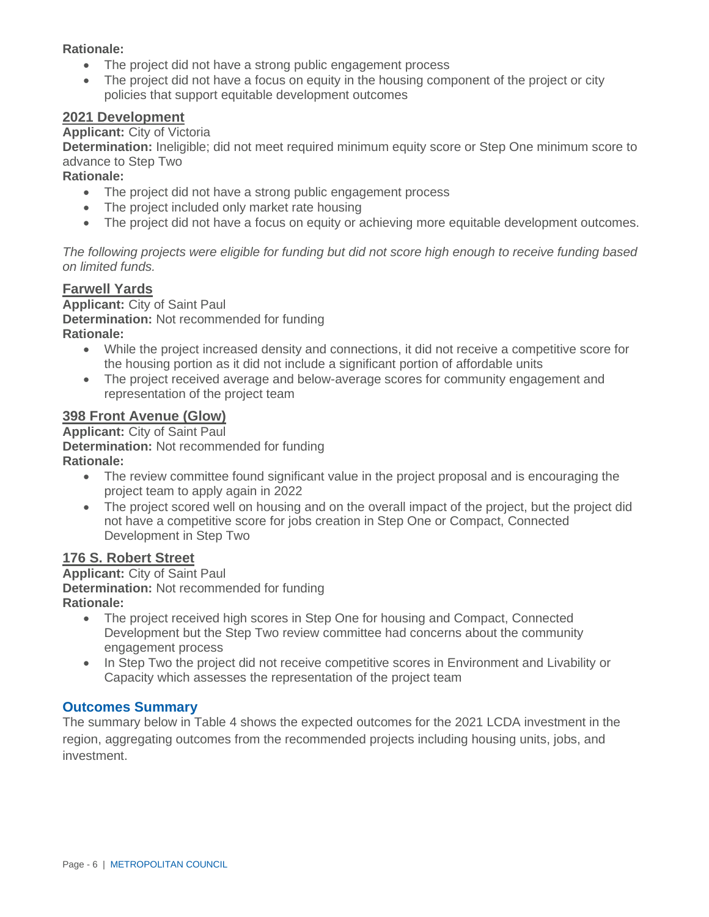#### **Rationale:**

- The project did not have a strong public engagement process
- The project did not have a focus on equity in the housing component of the project or city policies that support equitable development outcomes

#### **2021 Development**

#### **Applicant:** City of Victoria

**Determination:** Ineligible; did not meet required minimum equity score or Step One minimum score to advance to Step Two

#### **Rationale:**

- The project did not have a strong public engagement process
- The project included only market rate housing
- The project did not have a focus on equity or achieving more equitable development outcomes.

*The following projects were eligible for funding but did not score high enough to receive funding based on limited funds.* 

#### **Farwell Yards**

**Applicant:** City of Saint Paul **Determination:** Not recommended for funding **Rationale:**

- While the project increased density and connections, it did not receive a competitive score for the housing portion as it did not include a significant portion of affordable units
- The project received average and below-average scores for community engagement and representation of the project team

#### **398 Front Avenue (Glow)**

**Applicant:** City of Saint Paul **Determination:** Not recommended for funding **Rationale:**

- The review committee found significant value in the project proposal and is encouraging the project team to apply again in 2022
- The project scored well on housing and on the overall impact of the project, but the project did not have a competitive score for jobs creation in Step One or Compact, Connected Development in Step Two

## **176 S. Robert Street**

**Applicant:** City of Saint Paul **Determination:** Not recommended for funding **Rationale:**

- The project received high scores in Step One for housing and Compact, Connected Development but the Step Two review committee had concerns about the community engagement process
- In Step Two the project did not receive competitive scores in Environment and Livability or Capacity which assesses the representation of the project team

## **Outcomes Summary**

The summary below in Table 4 shows the expected outcomes for the 2021 LCDA investment in the region, aggregating outcomes from the recommended projects including housing units, jobs, and investment.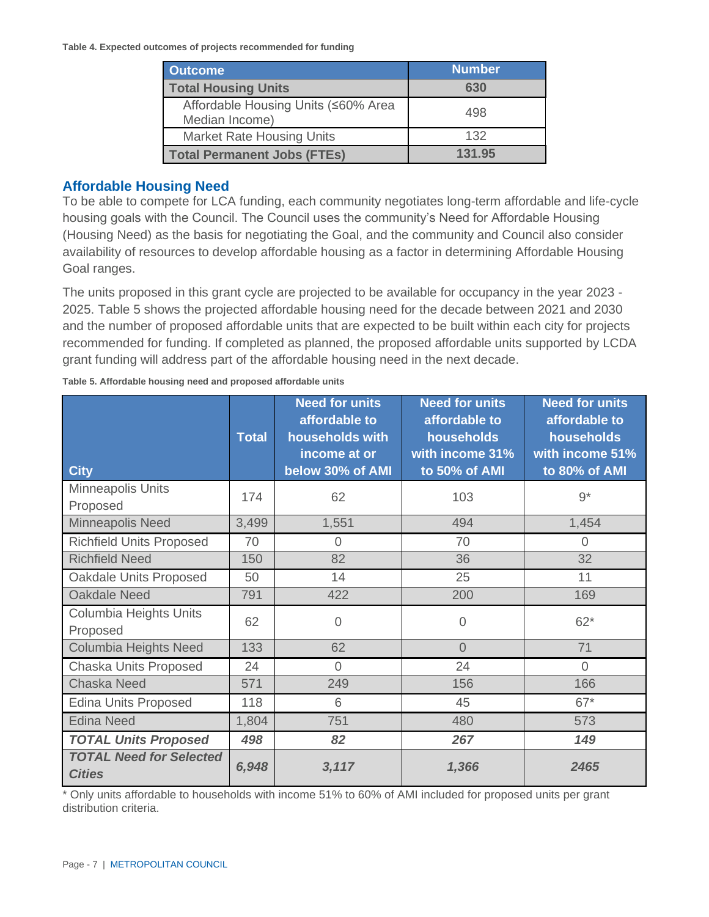**Table 4. Expected outcomes of projects recommended for funding** 

| <b>Outcome</b>                                        | <b>Number</b> |
|-------------------------------------------------------|---------------|
| <b>Total Housing Units</b>                            | 630           |
| Affordable Housing Units (≤60% Area<br>Median Income) | 498           |
| <b>Market Rate Housing Units</b>                      | 132           |
| <b>Total Permanent Jobs (FTEs)</b>                    | 131.95        |

### **Affordable Housing Need**

To be able to compete for LCA funding, each community negotiates long-term affordable and life-cycle housing goals with the Council. The Council uses the community's Need for Affordable Housing (Housing Need) as the basis for negotiating the Goal, and the community and Council also consider availability of resources to develop affordable housing as a factor in determining Affordable Housing Goal ranges.

The units proposed in this grant cycle are projected to be available for occupancy in the year 2023 - 2025. Table 5 shows the projected affordable housing need for the decade between 2021 and 2030 and the number of proposed affordable units that are expected to be built within each city for projects recommended for funding. If completed as planned, the proposed affordable units supported by LCDA grant funding will address part of the affordable housing need in the next decade.

| <b>City</b>                                     | <b>Total</b> | <b>Need for units</b><br>affordable to<br>households with<br>income at or<br>below 30% of AMI | <b>Need for units</b><br>affordable to<br>households<br>with income 31%<br>to 50% of AMI | <b>Need for units</b><br>affordable to<br>households<br>with income 51%<br>to 80% of AMI |
|-------------------------------------------------|--------------|-----------------------------------------------------------------------------------------------|------------------------------------------------------------------------------------------|------------------------------------------------------------------------------------------|
| Minneapolis Units<br>Proposed                   | 174          | 62                                                                                            | 103                                                                                      | $9*$                                                                                     |
| Minneapolis Need                                | 3,499        | 1,551                                                                                         | 494                                                                                      | 1,454                                                                                    |
| <b>Richfield Units Proposed</b>                 | 70           | 0                                                                                             | 70                                                                                       | 0                                                                                        |
| <b>Richfield Need</b>                           | 150          | 82                                                                                            | 36                                                                                       | 32                                                                                       |
| Oakdale Units Proposed                          | 50           | 14                                                                                            | 25                                                                                       | 11                                                                                       |
| <b>Oakdale Need</b>                             | 791          | 422                                                                                           | 200                                                                                      | 169                                                                                      |
| Columbia Heights Units<br>Proposed              | 62           | $\overline{0}$                                                                                | $\overline{0}$                                                                           | $62*$                                                                                    |
| Columbia Heights Need                           | 133          | 62                                                                                            | $\overline{0}$                                                                           | 71                                                                                       |
| Chaska Units Proposed                           | 24           | $\Omega$                                                                                      | 24                                                                                       | $\Omega$                                                                                 |
| <b>Chaska Need</b>                              | 571          | 249                                                                                           | 156                                                                                      | 166                                                                                      |
| <b>Edina Units Proposed</b>                     | 118          | 6                                                                                             | 45                                                                                       | $67*$                                                                                    |
| <b>Edina Need</b>                               | 1,804        | 751                                                                                           | 480                                                                                      | 573                                                                                      |
| <b>TOTAL Units Proposed</b>                     | 498          | 82                                                                                            | 267                                                                                      | 149                                                                                      |
| <b>TOTAL Need for Selected</b><br><b>Cities</b> | 6,948        | 3,117                                                                                         | 1,366                                                                                    | 2465                                                                                     |

**Table 5. Affordable housing need and proposed affordable units** 

Only units affordable to households with income 51% to 60% of AMI included for proposed units per grant distribution criteria.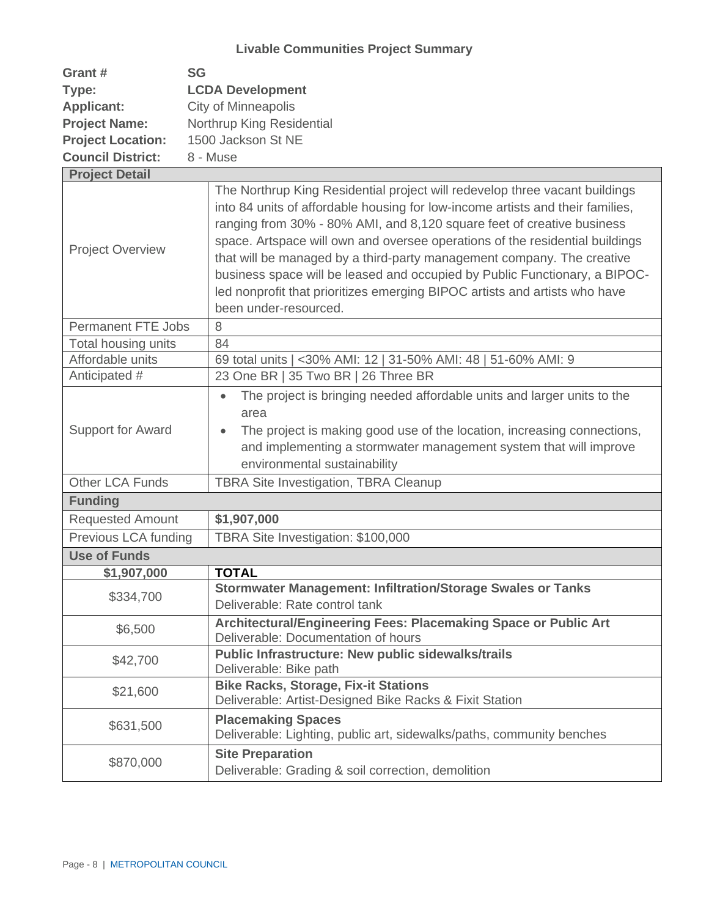| Grant #                   | <b>SG</b>                                                                                                                                                                                                                                                                                                                                                                                                                                                                                                                                                                              |  |  |  |
|---------------------------|----------------------------------------------------------------------------------------------------------------------------------------------------------------------------------------------------------------------------------------------------------------------------------------------------------------------------------------------------------------------------------------------------------------------------------------------------------------------------------------------------------------------------------------------------------------------------------------|--|--|--|
| Type:                     | <b>LCDA Development</b>                                                                                                                                                                                                                                                                                                                                                                                                                                                                                                                                                                |  |  |  |
| <b>Applicant:</b>         | <b>City of Minneapolis</b>                                                                                                                                                                                                                                                                                                                                                                                                                                                                                                                                                             |  |  |  |
| <b>Project Name:</b>      | Northrup King Residential                                                                                                                                                                                                                                                                                                                                                                                                                                                                                                                                                              |  |  |  |
| <b>Project Location:</b>  | 1500 Jackson St NE                                                                                                                                                                                                                                                                                                                                                                                                                                                                                                                                                                     |  |  |  |
| <b>Council District:</b>  | 8 - Muse                                                                                                                                                                                                                                                                                                                                                                                                                                                                                                                                                                               |  |  |  |
| <b>Project Detail</b>     |                                                                                                                                                                                                                                                                                                                                                                                                                                                                                                                                                                                        |  |  |  |
| <b>Project Overview</b>   | The Northrup King Residential project will redevelop three vacant buildings<br>into 84 units of affordable housing for low-income artists and their families,<br>ranging from 30% - 80% AMI, and 8,120 square feet of creative business<br>space. Artspace will own and oversee operations of the residential buildings<br>that will be managed by a third-party management company. The creative<br>business space will be leased and occupied by Public Functionary, a BIPOC-<br>led nonprofit that prioritizes emerging BIPOC artists and artists who have<br>been under-resourced. |  |  |  |
| <b>Permanent FTE Jobs</b> | 8                                                                                                                                                                                                                                                                                                                                                                                                                                                                                                                                                                                      |  |  |  |
| Total housing units       | 84                                                                                                                                                                                                                                                                                                                                                                                                                                                                                                                                                                                     |  |  |  |
| Affordable units          | 69 total units   <30% AMI: 12   31-50% AMI: 48   51-60% AMI: 9                                                                                                                                                                                                                                                                                                                                                                                                                                                                                                                         |  |  |  |
| Anticipated #             | 23 One BR   35 Two BR   26 Three BR                                                                                                                                                                                                                                                                                                                                                                                                                                                                                                                                                    |  |  |  |
| Support for Award         | The project is bringing needed affordable units and larger units to the<br>$\bullet$<br>area<br>The project is making good use of the location, increasing connections,<br>and implementing a stormwater management system that will improve<br>environmental sustainability                                                                                                                                                                                                                                                                                                           |  |  |  |
| <b>Other LCA Funds</b>    | <b>TBRA Site Investigation, TBRA Cleanup</b>                                                                                                                                                                                                                                                                                                                                                                                                                                                                                                                                           |  |  |  |
| <b>Funding</b>            |                                                                                                                                                                                                                                                                                                                                                                                                                                                                                                                                                                                        |  |  |  |
| <b>Requested Amount</b>   | \$1,907,000                                                                                                                                                                                                                                                                                                                                                                                                                                                                                                                                                                            |  |  |  |
| Previous LCA funding      | TBRA Site Investigation: \$100,000                                                                                                                                                                                                                                                                                                                                                                                                                                                                                                                                                     |  |  |  |
| <b>Use of Funds</b>       |                                                                                                                                                                                                                                                                                                                                                                                                                                                                                                                                                                                        |  |  |  |
| \$1,907,000               | <b>TOTAL</b>                                                                                                                                                                                                                                                                                                                                                                                                                                                                                                                                                                           |  |  |  |
|                           | <b>Stormwater Management: Infiltration/Storage Swales or Tanks</b>                                                                                                                                                                                                                                                                                                                                                                                                                                                                                                                     |  |  |  |
| \$334,700                 | Deliverable: Rate control tank                                                                                                                                                                                                                                                                                                                                                                                                                                                                                                                                                         |  |  |  |
| \$6,500                   | Architectural/Engineering Fees: Placemaking Space or Public Art<br>Deliverable: Documentation of hours                                                                                                                                                                                                                                                                                                                                                                                                                                                                                 |  |  |  |
| \$42,700                  | <b>Public Infrastructure: New public sidewalks/trails</b><br>Deliverable: Bike path                                                                                                                                                                                                                                                                                                                                                                                                                                                                                                    |  |  |  |
| \$21,600                  | <b>Bike Racks, Storage, Fix-it Stations</b><br>Deliverable: Artist-Designed Bike Racks & Fixit Station                                                                                                                                                                                                                                                                                                                                                                                                                                                                                 |  |  |  |
| \$631,500                 | <b>Placemaking Spaces</b><br>Deliverable: Lighting, public art, sidewalks/paths, community benches                                                                                                                                                                                                                                                                                                                                                                                                                                                                                     |  |  |  |
| \$870,000                 | <b>Site Preparation</b><br>Deliverable: Grading & soil correction, demolition                                                                                                                                                                                                                                                                                                                                                                                                                                                                                                          |  |  |  |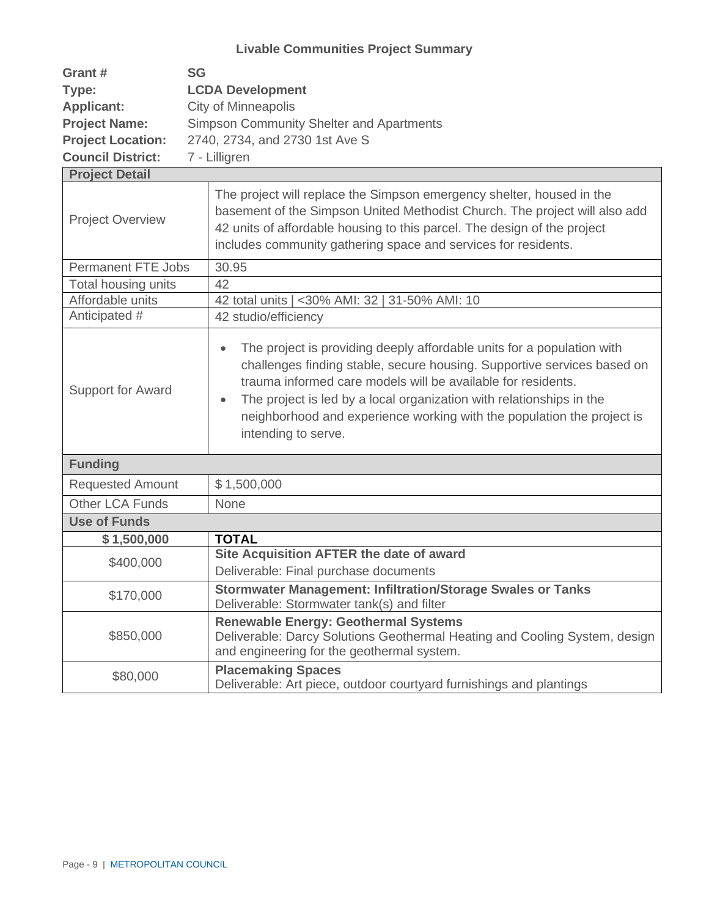| Grant #                  | <b>SG</b>                                                                                                                                                                                                                       |  |  |
|--------------------------|---------------------------------------------------------------------------------------------------------------------------------------------------------------------------------------------------------------------------------|--|--|
| Type:                    | <b>LCDA Development</b>                                                                                                                                                                                                         |  |  |
| <b>Applicant:</b>        | City of Minneapolis                                                                                                                                                                                                             |  |  |
| <b>Project Name:</b>     | <b>Simpson Community Shelter and Apartments</b>                                                                                                                                                                                 |  |  |
| <b>Project Location:</b> | 2740, 2734, and 2730 1st Ave S                                                                                                                                                                                                  |  |  |
| <b>Council District:</b> | 7 - Lilligren                                                                                                                                                                                                                   |  |  |
| <b>Project Detail</b>    |                                                                                                                                                                                                                                 |  |  |
| <b>Project Overview</b>  | The project will replace the Simpson emergency shelter, housed in the<br>basement of the Simpson United Methodist Church. The project will also add<br>12 unite of affordable housing to this parcel. The design of the project |  |  |

|                                                                                                                                                                                      | 42 units of affordable housing to this parcel. The design of the project<br>includes community gathering space and services for residents.                                                                                                                                                                                                                                                                           |
|--------------------------------------------------------------------------------------------------------------------------------------------------------------------------------------|----------------------------------------------------------------------------------------------------------------------------------------------------------------------------------------------------------------------------------------------------------------------------------------------------------------------------------------------------------------------------------------------------------------------|
| <b>Permanent FTE Jobs</b>                                                                                                                                                            | 30.95                                                                                                                                                                                                                                                                                                                                                                                                                |
| Total housing units                                                                                                                                                                  | 42                                                                                                                                                                                                                                                                                                                                                                                                                   |
| Affordable units                                                                                                                                                                     | 42 total units   <30% AMI: 32   31-50% AMI: 10                                                                                                                                                                                                                                                                                                                                                                       |
| Anticipated #                                                                                                                                                                        | 42 studio/efficiency                                                                                                                                                                                                                                                                                                                                                                                                 |
| <b>Support for Award</b>                                                                                                                                                             | The project is providing deeply affordable units for a population with<br>$\bullet$<br>challenges finding stable, secure housing. Supportive services based on<br>trauma informed care models will be available for residents.<br>The project is led by a local organization with relationships in the<br>$\bullet$<br>neighborhood and experience working with the population the project is<br>intending to serve. |
| <b>Funding</b>                                                                                                                                                                       |                                                                                                                                                                                                                                                                                                                                                                                                                      |
| <b>Requested Amount</b>                                                                                                                                                              | \$1,500,000                                                                                                                                                                                                                                                                                                                                                                                                          |
| <b>Other LCA Funds</b>                                                                                                                                                               | None                                                                                                                                                                                                                                                                                                                                                                                                                 |
| <b>Use of Funds</b>                                                                                                                                                                  |                                                                                                                                                                                                                                                                                                                                                                                                                      |
| \$1,500,000                                                                                                                                                                          | <b>TOTAL</b>                                                                                                                                                                                                                                                                                                                                                                                                         |
| \$400,000                                                                                                                                                                            | Site Acquisition AFTER the date of award                                                                                                                                                                                                                                                                                                                                                                             |
|                                                                                                                                                                                      | Deliverable: Final purchase documents                                                                                                                                                                                                                                                                                                                                                                                |
| <b>Stormwater Management: Infiltration/Storage Swales or Tanks</b><br>\$170,000<br>Deliverable: Stormwater tank(s) and filter                                                        |                                                                                                                                                                                                                                                                                                                                                                                                                      |
| <b>Renewable Energy: Geothermal Systems</b><br>\$850,000<br>Deliverable: Darcy Solutions Geothermal Heating and Cooling System, design<br>and engineering for the geothermal system. |                                                                                                                                                                                                                                                                                                                                                                                                                      |
| \$80,000                                                                                                                                                                             | <b>Placemaking Spaces</b><br>Deliverable: Art piece, outdoor courtyard furnishings and plantings                                                                                                                                                                                                                                                                                                                     |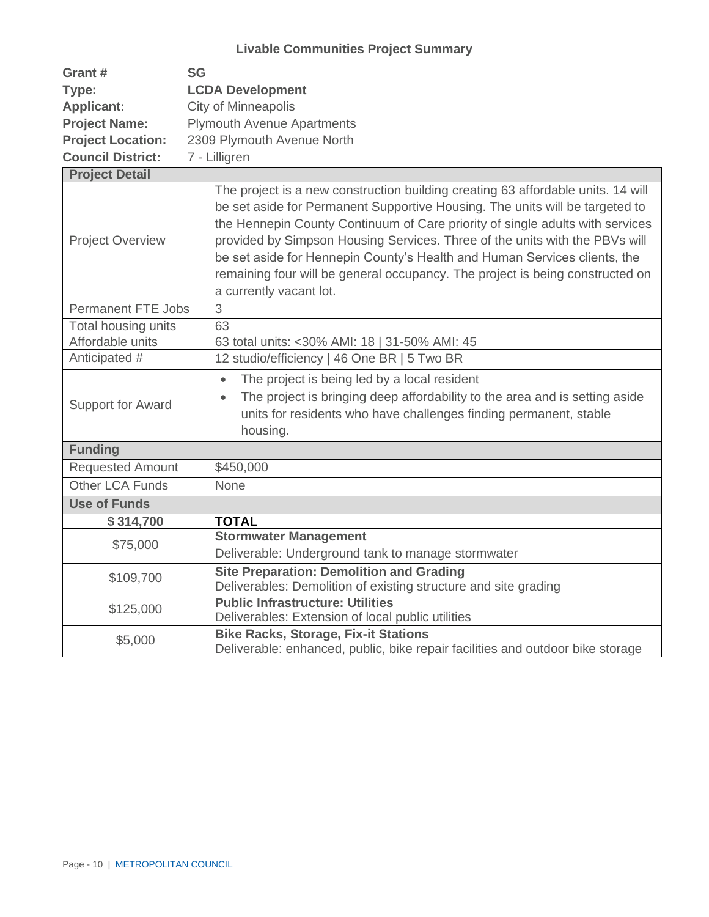| Grant #                   | <b>SG</b>                                                                                                                                                                                                                                                                                                                                                                                                                                                                                                                 |
|---------------------------|---------------------------------------------------------------------------------------------------------------------------------------------------------------------------------------------------------------------------------------------------------------------------------------------------------------------------------------------------------------------------------------------------------------------------------------------------------------------------------------------------------------------------|
| Type:                     | <b>LCDA Development</b>                                                                                                                                                                                                                                                                                                                                                                                                                                                                                                   |
| <b>Applicant:</b>         | <b>City of Minneapolis</b>                                                                                                                                                                                                                                                                                                                                                                                                                                                                                                |
| <b>Project Name:</b>      | <b>Plymouth Avenue Apartments</b>                                                                                                                                                                                                                                                                                                                                                                                                                                                                                         |
| <b>Project Location:</b>  | 2309 Plymouth Avenue North                                                                                                                                                                                                                                                                                                                                                                                                                                                                                                |
| <b>Council District:</b>  | 7 - Lilligren                                                                                                                                                                                                                                                                                                                                                                                                                                                                                                             |
| <b>Project Detail</b>     |                                                                                                                                                                                                                                                                                                                                                                                                                                                                                                                           |
| <b>Project Overview</b>   | The project is a new construction building creating 63 affordable units. 14 will<br>be set aside for Permanent Supportive Housing. The units will be targeted to<br>the Hennepin County Continuum of Care priority of single adults with services<br>provided by Simpson Housing Services. Three of the units with the PBVs will<br>be set aside for Hennepin County's Health and Human Services clients, the<br>remaining four will be general occupancy. The project is being constructed on<br>a currently vacant lot. |
| <b>Permanent FTE Jobs</b> | 3                                                                                                                                                                                                                                                                                                                                                                                                                                                                                                                         |
| Total housing units       | 63                                                                                                                                                                                                                                                                                                                                                                                                                                                                                                                        |
| Affordable units          | 63 total units: < 30% AMI: 18   31-50% AMI: 45                                                                                                                                                                                                                                                                                                                                                                                                                                                                            |
| Anticipated #             | 12 studio/efficiency   46 One BR   5 Two BR                                                                                                                                                                                                                                                                                                                                                                                                                                                                               |
| Support for Award         | The project is being led by a local resident<br>$\bullet$<br>The project is bringing deep affordability to the area and is setting aside<br>$\bullet$<br>units for residents who have challenges finding permanent, stable<br>housing.                                                                                                                                                                                                                                                                                    |
| <b>Funding</b>            |                                                                                                                                                                                                                                                                                                                                                                                                                                                                                                                           |
| <b>Requested Amount</b>   | \$450,000                                                                                                                                                                                                                                                                                                                                                                                                                                                                                                                 |
| <b>Other LCA Funds</b>    | None                                                                                                                                                                                                                                                                                                                                                                                                                                                                                                                      |
| <b>Use of Funds</b>       |                                                                                                                                                                                                                                                                                                                                                                                                                                                                                                                           |
| \$314,700                 | <b>TOTAL</b>                                                                                                                                                                                                                                                                                                                                                                                                                                                                                                              |
| \$75,000                  | <b>Stormwater Management</b><br>Deliverable: Underground tank to manage stormwater                                                                                                                                                                                                                                                                                                                                                                                                                                        |
| \$109,700                 | Site Preparation: Demolition and Grading<br>Deliverables: Demolition of existing structure and site grading                                                                                                                                                                                                                                                                                                                                                                                                               |
| \$125,000                 | <b>Public Infrastructure: Utilities</b><br>Deliverables: Extension of local public utilities                                                                                                                                                                                                                                                                                                                                                                                                                              |
| \$5,000                   | <b>Bike Racks, Storage, Fix-it Stations</b><br>Deliverable: enhanced, public, bike repair facilities and outdoor bike storage                                                                                                                                                                                                                                                                                                                                                                                             |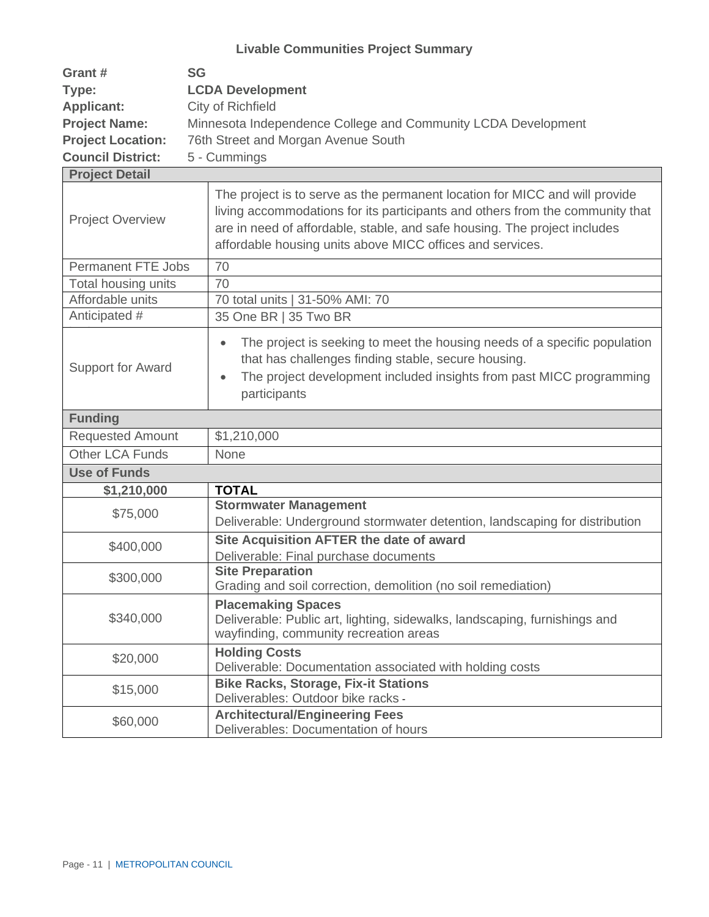| Grant #                  | <b>SG</b>                                                     |
|--------------------------|---------------------------------------------------------------|
| Type:                    | <b>LCDA Development</b>                                       |
| <b>Applicant:</b>        | City of Richfield                                             |
| <b>Project Name:</b>     | Minnesota Independence College and Community LCDA Development |
| <b>Project Location:</b> | 76th Street and Morgan Avenue South                           |
| <b>Council District:</b> | 5 - Cummings                                                  |

| <b>Project Detail</b>                                                                                                                                          |                                                                                                                                                                                                                                                                                                        |  |
|----------------------------------------------------------------------------------------------------------------------------------------------------------------|--------------------------------------------------------------------------------------------------------------------------------------------------------------------------------------------------------------------------------------------------------------------------------------------------------|--|
| <b>Project Overview</b>                                                                                                                                        | The project is to serve as the permanent location for MICC and will provide<br>living accommodations for its participants and others from the community that<br>are in need of affordable, stable, and safe housing. The project includes<br>affordable housing units above MICC offices and services. |  |
| <b>Permanent FTE Jobs</b>                                                                                                                                      | 70                                                                                                                                                                                                                                                                                                     |  |
| Total housing units                                                                                                                                            | 70                                                                                                                                                                                                                                                                                                     |  |
| Affordable units                                                                                                                                               | 70 total units   31-50% AMI: 70                                                                                                                                                                                                                                                                        |  |
| Anticipated #                                                                                                                                                  | 35 One BR   35 Two BR                                                                                                                                                                                                                                                                                  |  |
| Support for Award                                                                                                                                              | The project is seeking to meet the housing needs of a specific population<br>$\bullet$<br>that has challenges finding stable, secure housing.<br>The project development included insights from past MICC programming<br>$\bullet$<br>participants                                                     |  |
| <b>Funding</b>                                                                                                                                                 |                                                                                                                                                                                                                                                                                                        |  |
| <b>Requested Amount</b>                                                                                                                                        | \$1,210,000                                                                                                                                                                                                                                                                                            |  |
| <b>Other LCA Funds</b>                                                                                                                                         | None                                                                                                                                                                                                                                                                                                   |  |
| <b>Use of Funds</b>                                                                                                                                            |                                                                                                                                                                                                                                                                                                        |  |
| \$1,210,000                                                                                                                                                    | <b>TOTAL</b>                                                                                                                                                                                                                                                                                           |  |
| \$75,000                                                                                                                                                       | <b>Stormwater Management</b><br>Deliverable: Underground stormwater detention, landscaping for distribution                                                                                                                                                                                            |  |
| \$400,000                                                                                                                                                      | Site Acquisition AFTER the date of award<br>Deliverable: Final purchase documents                                                                                                                                                                                                                      |  |
| \$300,000                                                                                                                                                      | <b>Site Preparation</b><br>Grading and soil correction, demolition (no soil remediation)                                                                                                                                                                                                               |  |
| <b>Placemaking Spaces</b><br>\$340,000<br>Deliverable: Public art, lighting, sidewalks, landscaping, furnishings and<br>wayfinding, community recreation areas |                                                                                                                                                                                                                                                                                                        |  |
| \$20,000                                                                                                                                                       | <b>Holding Costs</b><br>Deliverable: Documentation associated with holding costs                                                                                                                                                                                                                       |  |
| \$15,000                                                                                                                                                       | <b>Bike Racks, Storage, Fix-it Stations</b><br>Deliverables: Outdoor bike racks -                                                                                                                                                                                                                      |  |
| \$60,000                                                                                                                                                       | <b>Architectural/Engineering Fees</b><br>Deliverables: Documentation of hours                                                                                                                                                                                                                          |  |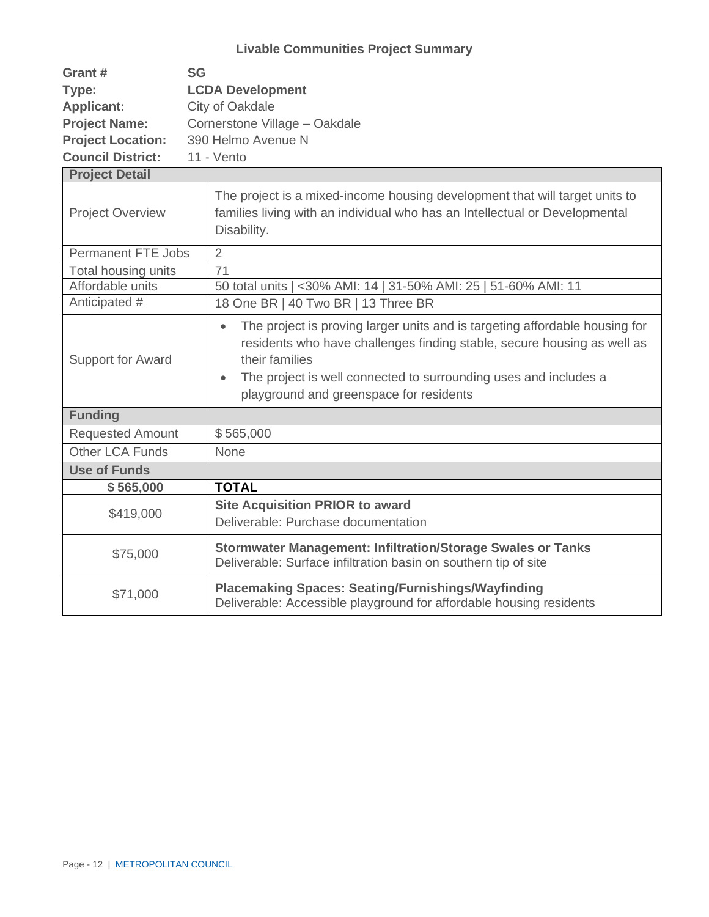| Grant #                   | <b>SG</b>                                                                                                                                                                                                                                                                                                         |  |  |  |
|---------------------------|-------------------------------------------------------------------------------------------------------------------------------------------------------------------------------------------------------------------------------------------------------------------------------------------------------------------|--|--|--|
| Type:                     | <b>LCDA Development</b>                                                                                                                                                                                                                                                                                           |  |  |  |
| <b>Applicant:</b>         | City of Oakdale                                                                                                                                                                                                                                                                                                   |  |  |  |
| <b>Project Name:</b>      | Cornerstone Village - Oakdale                                                                                                                                                                                                                                                                                     |  |  |  |
| <b>Project Location:</b>  | 390 Helmo Avenue N                                                                                                                                                                                                                                                                                                |  |  |  |
| <b>Council District:</b>  | 11 - Vento                                                                                                                                                                                                                                                                                                        |  |  |  |
| <b>Project Detail</b>     |                                                                                                                                                                                                                                                                                                                   |  |  |  |
| <b>Project Overview</b>   | The project is a mixed-income housing development that will target units to<br>families living with an individual who has an Intellectual or Developmental<br>Disability.                                                                                                                                         |  |  |  |
| <b>Permanent FTE Jobs</b> | $\overline{2}$                                                                                                                                                                                                                                                                                                    |  |  |  |
| Total housing units       | 71                                                                                                                                                                                                                                                                                                                |  |  |  |
| Affordable units          | 50 total units   <30% AMI: 14   31-50% AMI: 25   51-60% AMI: 11                                                                                                                                                                                                                                                   |  |  |  |
| Anticipated #             | 18 One BR   40 Two BR   13 Three BR                                                                                                                                                                                                                                                                               |  |  |  |
| Support for Award         | The project is proving larger units and is targeting affordable housing for<br>$\bullet$<br>residents who have challenges finding stable, secure housing as well as<br>their families<br>The project is well connected to surrounding uses and includes a<br>$\bullet$<br>playground and greenspace for residents |  |  |  |
| <b>Funding</b>            |                                                                                                                                                                                                                                                                                                                   |  |  |  |
| <b>Requested Amount</b>   | \$565,000                                                                                                                                                                                                                                                                                                         |  |  |  |
| Other LCA Funds           | None                                                                                                                                                                                                                                                                                                              |  |  |  |
| <b>Use of Funds</b>       |                                                                                                                                                                                                                                                                                                                   |  |  |  |
| \$565,000                 | <b>TOTAL</b>                                                                                                                                                                                                                                                                                                      |  |  |  |
| \$419,000                 | <b>Site Acquisition PRIOR to award</b><br>Deliverable: Purchase documentation                                                                                                                                                                                                                                     |  |  |  |
| \$75,000                  | <b>Stormwater Management: Infiltration/Storage Swales or Tanks</b><br>Deliverable: Surface infiltration basin on southern tip of site                                                                                                                                                                             |  |  |  |
| \$71,000                  | <b>Placemaking Spaces: Seating/Furnishings/Wayfinding</b><br>Deliverable: Accessible playground for affordable housing residents                                                                                                                                                                                  |  |  |  |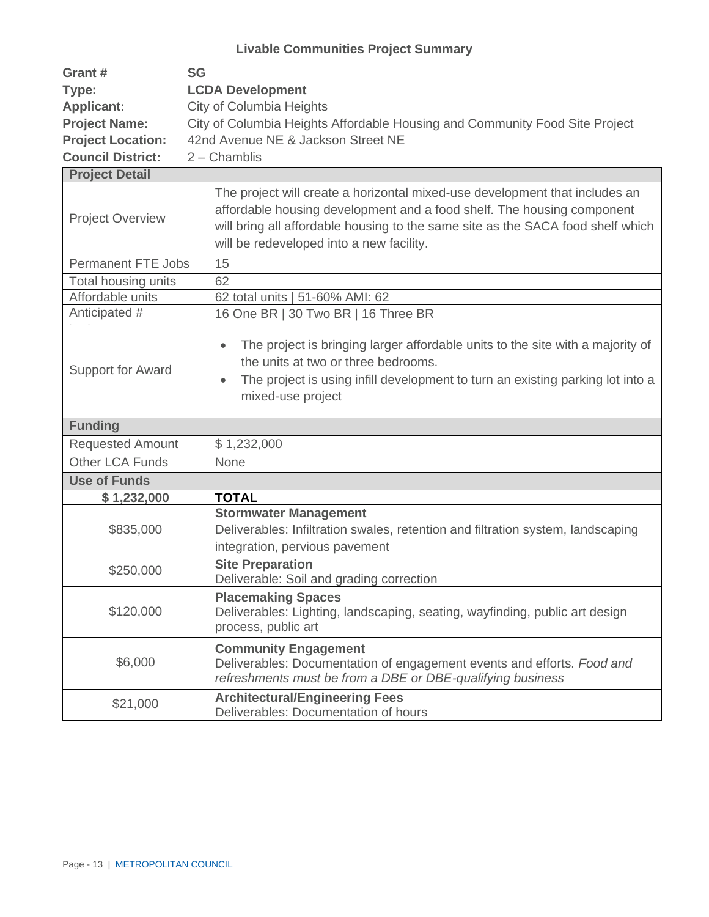| Grant #                  | <b>SG</b>                                                                   |
|--------------------------|-----------------------------------------------------------------------------|
| Type:                    | <b>LCDA Development</b>                                                     |
| <b>Applicant:</b>        | City of Columbia Heights                                                    |
| <b>Project Name:</b>     | City of Columbia Heights Affordable Housing and Community Food Site Project |
| <b>Project Location:</b> | 42nd Avenue NE & Jackson Street NE                                          |
| <b>Council District:</b> | $2$ – Chamblis                                                              |

| <b>Project Detail</b>    |                                                                                                                                                                                                                                                                                      |  |
|--------------------------|--------------------------------------------------------------------------------------------------------------------------------------------------------------------------------------------------------------------------------------------------------------------------------------|--|
| <b>Project Overview</b>  | The project will create a horizontal mixed-use development that includes an<br>affordable housing development and a food shelf. The housing component<br>will bring all affordable housing to the same site as the SACA food shelf which<br>will be redeveloped into a new facility. |  |
| Permanent FTE Jobs       | $\overline{15}$                                                                                                                                                                                                                                                                      |  |
| Total housing units      | 62                                                                                                                                                                                                                                                                                   |  |
| Affordable units         | 62 total units   51-60% AMI: 62                                                                                                                                                                                                                                                      |  |
| Anticipated #            | 16 One BR   30 Two BR   16 Three BR                                                                                                                                                                                                                                                  |  |
| <b>Support for Award</b> | The project is bringing larger affordable units to the site with a majority of<br>$\bullet$<br>the units at two or three bedrooms.<br>The project is using infill development to turn an existing parking lot into a<br>$\bullet$<br>mixed-use project                               |  |
| <b>Funding</b>           |                                                                                                                                                                                                                                                                                      |  |
| <b>Requested Amount</b>  | \$1,232,000                                                                                                                                                                                                                                                                          |  |
| <b>Other LCA Funds</b>   | None                                                                                                                                                                                                                                                                                 |  |
| <b>Use of Funds</b>      |                                                                                                                                                                                                                                                                                      |  |
| \$1,232,000              | <b>TOTAL</b>                                                                                                                                                                                                                                                                         |  |
| \$835,000                | <b>Stormwater Management</b><br>Deliverables: Infiltration swales, retention and filtration system, landscaping<br>integration, pervious pavement                                                                                                                                    |  |
| \$250,000                | <b>Site Preparation</b><br>Deliverable: Soil and grading correction                                                                                                                                                                                                                  |  |
| \$120,000                | <b>Placemaking Spaces</b><br>Deliverables: Lighting, landscaping, seating, wayfinding, public art design<br>process, public art                                                                                                                                                      |  |
| \$6,000                  | <b>Community Engagement</b><br>Deliverables: Documentation of engagement events and efforts. Food and<br>refreshments must be from a DBE or DBE-qualifying business                                                                                                                  |  |
| \$21,000                 | <b>Architectural/Engineering Fees</b><br>Deliverables: Documentation of hours                                                                                                                                                                                                        |  |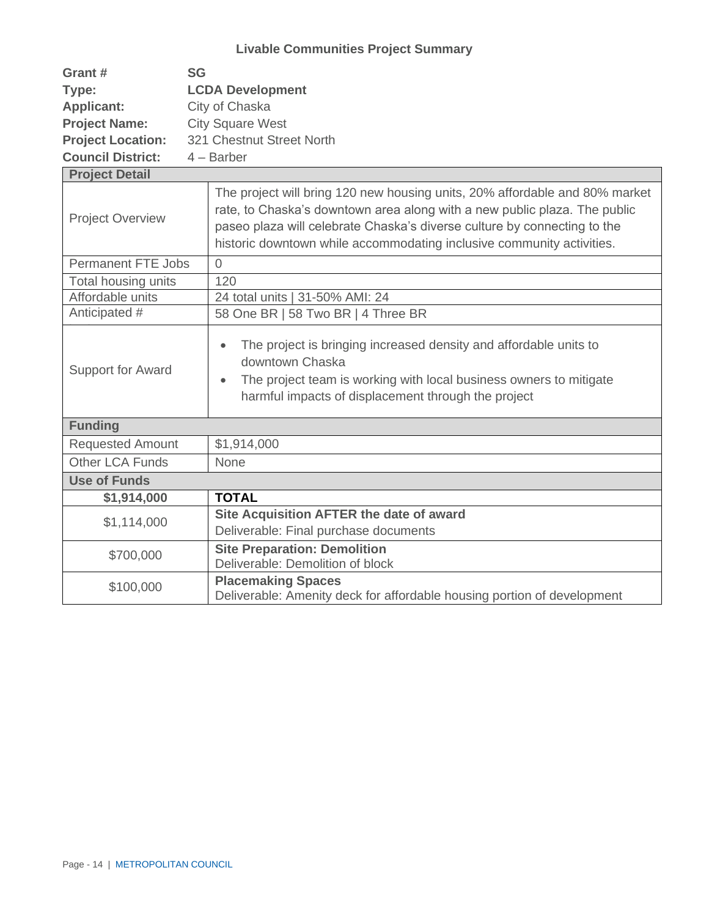| Grant #                   | <b>SG</b>                                                                                                                                                                                                                                                                                                     |  |  |  |
|---------------------------|---------------------------------------------------------------------------------------------------------------------------------------------------------------------------------------------------------------------------------------------------------------------------------------------------------------|--|--|--|
| Type:                     | <b>LCDA Development</b>                                                                                                                                                                                                                                                                                       |  |  |  |
| <b>Applicant:</b>         | City of Chaska                                                                                                                                                                                                                                                                                                |  |  |  |
| <b>Project Name:</b>      | <b>City Square West</b>                                                                                                                                                                                                                                                                                       |  |  |  |
| <b>Project Location:</b>  | 321 Chestnut Street North                                                                                                                                                                                                                                                                                     |  |  |  |
| <b>Council District:</b>  | $4 - B$ arber                                                                                                                                                                                                                                                                                                 |  |  |  |
| <b>Project Detail</b>     |                                                                                                                                                                                                                                                                                                               |  |  |  |
| <b>Project Overview</b>   | The project will bring 120 new housing units, 20% affordable and 80% market<br>rate, to Chaska's downtown area along with a new public plaza. The public<br>paseo plaza will celebrate Chaska's diverse culture by connecting to the<br>historic downtown while accommodating inclusive community activities. |  |  |  |
| <b>Permanent FTE Jobs</b> | 0                                                                                                                                                                                                                                                                                                             |  |  |  |
| Total housing units       | 120                                                                                                                                                                                                                                                                                                           |  |  |  |
| Affordable units          | 24 total units   31-50% AMI: 24                                                                                                                                                                                                                                                                               |  |  |  |
| Anticipated #             | 58 One BR   58 Two BR   4 Three BR                                                                                                                                                                                                                                                                            |  |  |  |
| <b>Support for Award</b>  | The project is bringing increased density and affordable units to<br>$\bullet$<br>downtown Chaska<br>The project team is working with local business owners to mitigate<br>$\bullet$<br>harmful impacts of displacement through the project                                                                   |  |  |  |
| <b>Funding</b>            |                                                                                                                                                                                                                                                                                                               |  |  |  |
| <b>Requested Amount</b>   | \$1,914,000                                                                                                                                                                                                                                                                                                   |  |  |  |
| Other LCA Funds           | None                                                                                                                                                                                                                                                                                                          |  |  |  |
| <b>Use of Funds</b>       |                                                                                                                                                                                                                                                                                                               |  |  |  |
| \$1,914,000               | <b>TOTAL</b>                                                                                                                                                                                                                                                                                                  |  |  |  |
| \$1,114,000               | Site Acquisition AFTER the date of award<br>Deliverable: Final purchase documents                                                                                                                                                                                                                             |  |  |  |
| \$700,000                 | <b>Site Preparation: Demolition</b><br>Deliverable: Demolition of block                                                                                                                                                                                                                                       |  |  |  |
| \$100,000                 | <b>Placemaking Spaces</b><br>Deliverable: Amenity deck for affordable housing portion of development                                                                                                                                                                                                          |  |  |  |